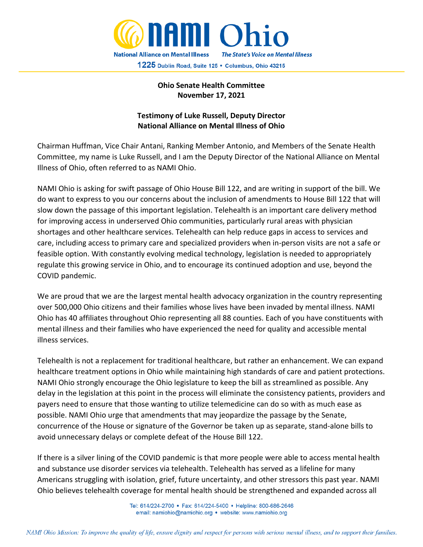

## **Ohio Senate Health Committee November 17, 2021**

## **Testimony of Luke Russell, Deputy Director National Alliance on Mental Illness of Ohio**

Chairman Huffman, Vice Chair Antani, Ranking Member Antonio, and Members of the Senate Health Committee, my name is Luke Russell, and I am the Deputy Director of the National Alliance on Mental Illness of Ohio, often referred to as NAMI Ohio.

NAMI Ohio is asking for swift passage of Ohio House Bill 122, and are writing in support of the bill. We do want to express to you our concerns about the inclusion of amendments to House Bill 122 that will slow down the passage of this important legislation. Telehealth is an important care delivery method for improving access in underserved Ohio communities, particularly rural areas with physician shortages and other healthcare services. Telehealth can help reduce gaps in access to services and care, including access to primary care and specialized providers when in-person visits are not a safe or feasible option. With constantly evolving medical technology, legislation is needed to appropriately regulate this growing service in Ohio, and to encourage its continued adoption and use, beyond the COVID pandemic.

We are proud that we are the largest mental health advocacy organization in the country representing over 500,000 Ohio citizens and their families whose lives have been invaded by mental illness. NAMI Ohio has 40 affiliates throughout Ohio representing all 88 counties. Each of you have constituents with mental illness and their families who have experienced the need for quality and accessible mental illness services.

Telehealth is not a replacement for traditional healthcare, but rather an enhancement. We can expand healthcare treatment options in Ohio while maintaining high standards of care and patient protections. NAMI Ohio strongly encourage the Ohio legislature to keep the bill as streamlined as possible. Any delay in the legislation at this point in the process will eliminate the consistency patients, providers and payers need to ensure that those wanting to utilize telemedicine can do so with as much ease as possible. NAMI Ohio urge that amendments that may jeopardize the passage by the Senate, concurrence of the House or signature of the Governor be taken up as separate, stand-alone bills to avoid unnecessary delays or complete defeat of the House Bill 122.

If there is a silver lining of the COVID pandemic is that more people were able to access mental health and substance use disorder services via telehealth. Telehealth has served as a lifeline for many Americans struggling with isolation, grief, future uncertainty, and other stressors this past year. NAMI Ohio believes telehealth coverage for mental health should be strengthened and expanded across all

> Tel: 614/224-2700 • Fax: 614/224-5400 • Helpline: 800-686-2646 email: namiohio@namiohio.org • website: www.namiohio.org